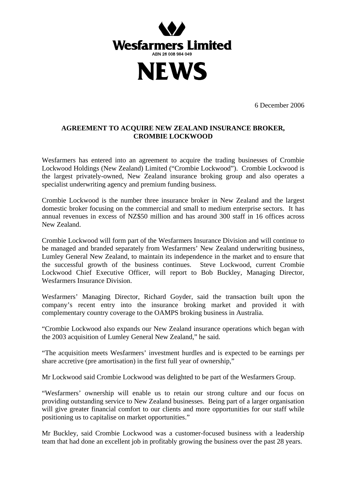

6 December 2006

## **AGREEMENT TO ACQUIRE NEW ZEALAND INSURANCE BROKER, CROMBIE LOCKWOOD**

Wesfarmers has entered into an agreement to acquire the trading businesses of Crombie Lockwood Holdings (New Zealand) Limited ("Crombie Lockwood"). Crombie Lockwood is the largest privately-owned, New Zealand insurance broking group and also operates a specialist underwriting agency and premium funding business.

Crombie Lockwood is the number three insurance broker in New Zealand and the largest domestic broker focusing on the commercial and small to medium enterprise sectors. It has annual revenues in excess of NZ\$50 million and has around 300 staff in 16 offices across New Zealand.

Crombie Lockwood will form part of the Wesfarmers Insurance Division and will continue to be managed and branded separately from Wesfarmers' New Zealand underwriting business, Lumley General New Zealand, to maintain its independence in the market and to ensure that the successful growth of the business continues. Steve Lockwood, current Crombie Lockwood Chief Executive Officer, will report to Bob Buckley, Managing Director, Wesfarmers Insurance Division.

Wesfarmers' Managing Director, Richard Goyder, said the transaction built upon the company's recent entry into the insurance broking market and provided it with complementary country coverage to the OAMPS broking business in Australia.

"Crombie Lockwood also expands our New Zealand insurance operations which began with the 2003 acquisition of Lumley General New Zealand," he said.

"The acquisition meets Wesfarmers' investment hurdles and is expected to be earnings per share accretive (pre amortisation) in the first full year of ownership,"

Mr Lockwood said Crombie Lockwood was delighted to be part of the Wesfarmers Group.

"Wesfarmers' ownership will enable us to retain our strong culture and our focus on providing outstanding service to New Zealand businesses. Being part of a larger organisation will give greater financial comfort to our clients and more opportunities for our staff while positioning us to capitalise on market opportunities."

Mr Buckley, said Crombie Lockwood was a customer-focused business with a leadership team that had done an excellent job in profitably growing the business over the past 28 years.